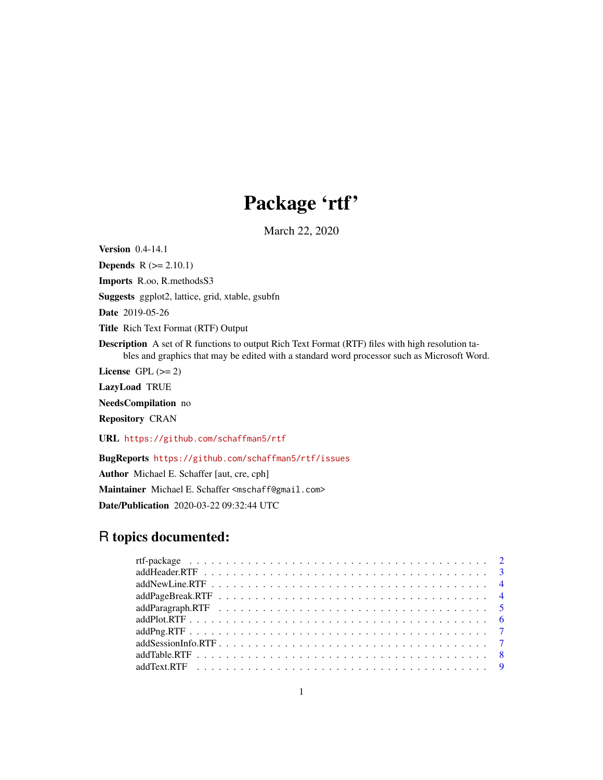## Package 'rtf'

March 22, 2020

<span id="page-0-0"></span>Version 0.4-14.1

**Depends**  $R$  ( $>= 2.10.1$ ) Imports R.oo, R.methodsS3 Suggests ggplot2, lattice, grid, xtable, gsubfn Date 2019-05-26 Title Rich Text Format (RTF) Output Description A set of R functions to output Rich Text Format (RTF) files with high resolution tables and graphics that may be edited with a standard word processor such as Microsoft Word. License GPL  $(>= 2)$ LazyLoad TRUE NeedsCompilation no Repository CRAN URL <https://github.com/schaffman5/rtf>

BugReports <https://github.com/schaffman5/rtf/issues>

Author Michael E. Schaffer [aut, cre, cph] Maintainer Michael E. Schaffer <mschaff@gmail.com> Date/Publication 2020-03-22 09:32:44 UTC

## R topics documented: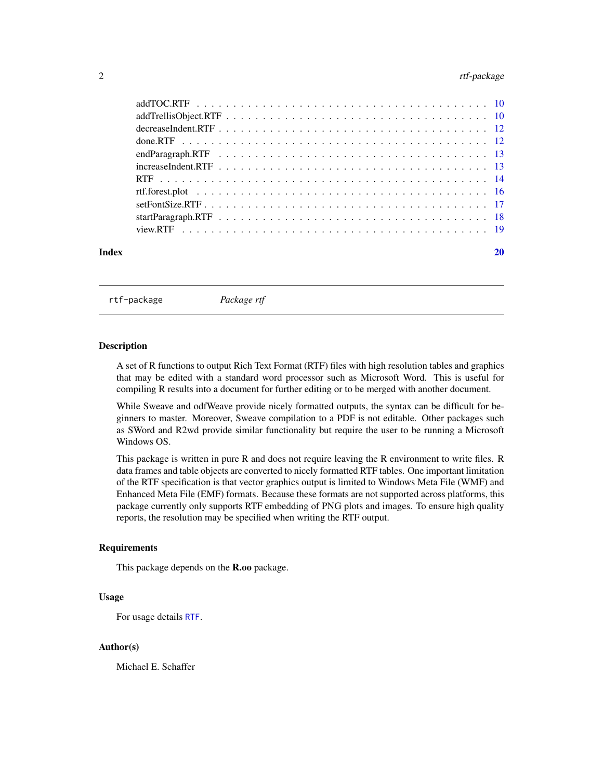## <span id="page-1-0"></span>2 rtf-package

| Index |  |
|-------|--|

rtf-package *Package rtf*

#### **Description**

A set of R functions to output Rich Text Format (RTF) files with high resolution tables and graphics that may be edited with a standard word processor such as Microsoft Word. This is useful for compiling R results into a document for further editing or to be merged with another document.

While Sweave and odfWeave provide nicely formatted outputs, the syntax can be difficult for beginners to master. Moreover, Sweave compilation to a PDF is not editable. Other packages such as SWord and R2wd provide similar functionality but require the user to be running a Microsoft Windows OS.

This package is written in pure R and does not require leaving the R environment to write files. R data frames and table objects are converted to nicely formatted RTF tables. One important limitation of the RTF specification is that vector graphics output is limited to Windows Meta File (WMF) and Enhanced Meta File (EMF) formats. Because these formats are not supported across platforms, this package currently only supports RTF embedding of PNG plots and images. To ensure high quality reports, the resolution may be specified when writing the RTF output.

#### Requirements

This package depends on the R.oo package.

#### Usage

For usage details [RTF](#page-13-1).

#### Author(s)

Michael E. Schaffer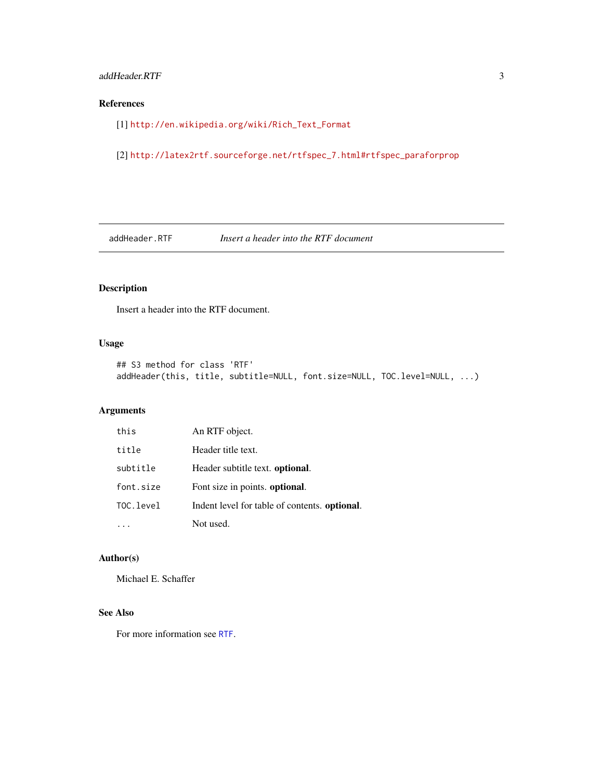## <span id="page-2-0"></span>addHeader.RTF 3

## References

[1] [http://en.wikipedia.org/wiki/Rich\\_Text\\_Format](http://en.wikipedia.org/wiki/Rich_Text_Format)

[2] [http://latex2rtf.sourceforge.net/rtfspec\\_7.html#rtfspec\\_paraforprop](http://latex2rtf.sourceforge.net/rtfspec_7.html#rtfspec_paraforprop)

addHeader.RTF *Insert a header into the RTF document*

## Description

Insert a header into the RTF document.

#### Usage

```
## S3 method for class 'RTF'
addHeader(this, title, subtitle=NULL, font.size=NULL, TOC.level=NULL, ...)
```
## Arguments

| this      | An RTF object.                                        |
|-----------|-------------------------------------------------------|
| title     | Header title text.                                    |
| subtitle  | Header subtitle text. optional.                       |
| font.size | Font size in points. optional.                        |
| TOC.level | Indent level for table of contents. <b>optional</b> . |
|           | Not used.                                             |

## Author(s)

Michael E. Schaffer

## See Also

For more information see [RTF](#page-13-1).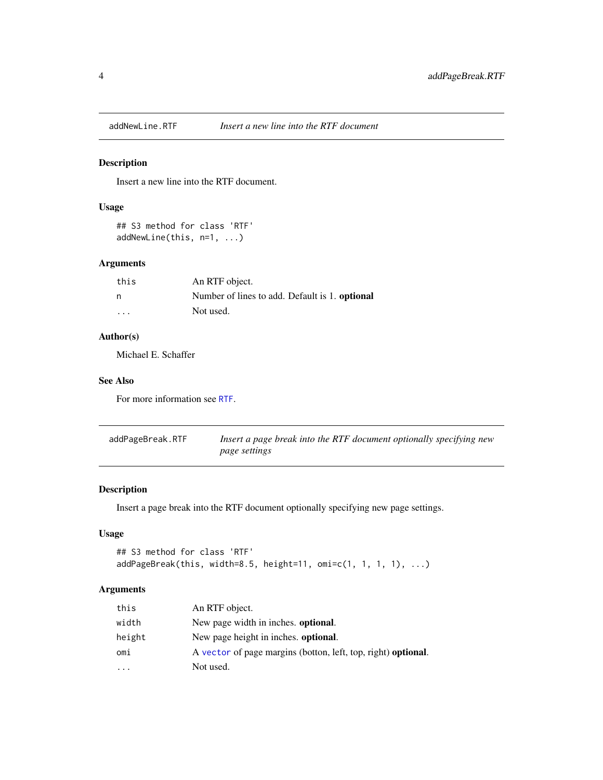<span id="page-3-0"></span>

## Description

Insert a new line into the RTF document.

## Usage

```
## S3 method for class 'RTF'
addNewLine(this, n=1, ...)
```
## Arguments

| this                    | An RTF object.                                        |
|-------------------------|-------------------------------------------------------|
| n                       | Number of lines to add. Default is 1. <b>optional</b> |
| $\cdot$ $\cdot$ $\cdot$ | Not used.                                             |

## Author(s)

Michael E. Schaffer

## See Also

For more information see [RTF](#page-13-1).

| addPageBreak.RTF | Insert a page break into the RTF document optionally specifying new |
|------------------|---------------------------------------------------------------------|
|                  | <i>page settings</i>                                                |

## Description

Insert a page break into the RTF document optionally specifying new page settings.

## Usage

```
## S3 method for class 'RTF'
addPageBreak(this, width=8.5, height=11, omi=c(1, 1, 1, 1), ...)
```

| this                    | An RTF object.                                                |
|-------------------------|---------------------------------------------------------------|
| width                   | New page width in inches. <b>optional</b> .                   |
| height                  | New page height in inches. optional.                          |
| omi                     | A vector of page margins (botton, left, top, right) optional. |
| $\cdot$ $\cdot$ $\cdot$ | Not used.                                                     |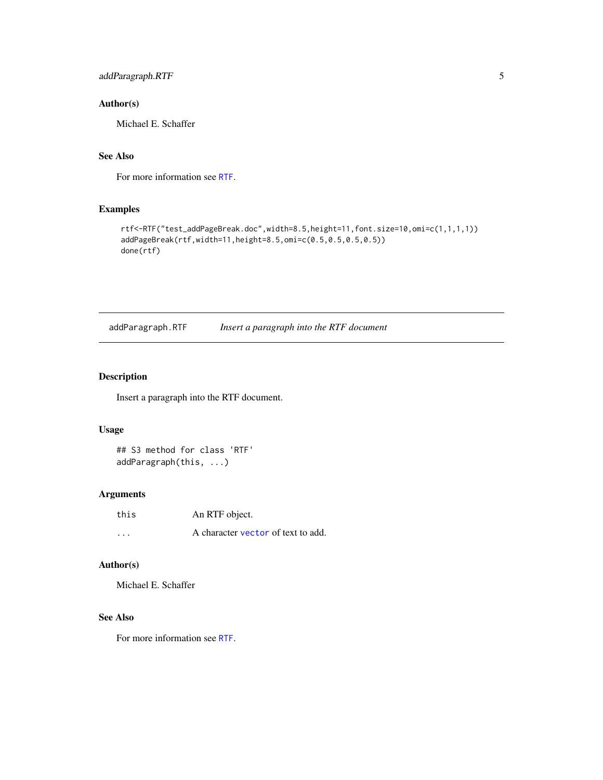## <span id="page-4-0"></span>addParagraph.RTF 5

#### Author(s)

Michael E. Schaffer

## See Also

For more information see [RTF](#page-13-1).

## Examples

```
rtf<-RTF("test_addPageBreak.doc",width=8.5,height=11,font.size=10,omi=c(1,1,1,1))
addPageBreak(rtf,width=11,height=8.5,omi=c(0.5,0.5,0.5,0.5))
done(rtf)
```
addParagraph.RTF *Insert a paragraph into the RTF document*

#### Description

Insert a paragraph into the RTF document.

#### Usage

## S3 method for class 'RTF' addParagraph(this, ...)

#### Arguments

| this    | An RTF object.                     |
|---------|------------------------------------|
| $\cdot$ | A character vector of text to add. |

#### Author(s)

Michael E. Schaffer

## See Also

For more information see [RTF](#page-13-1).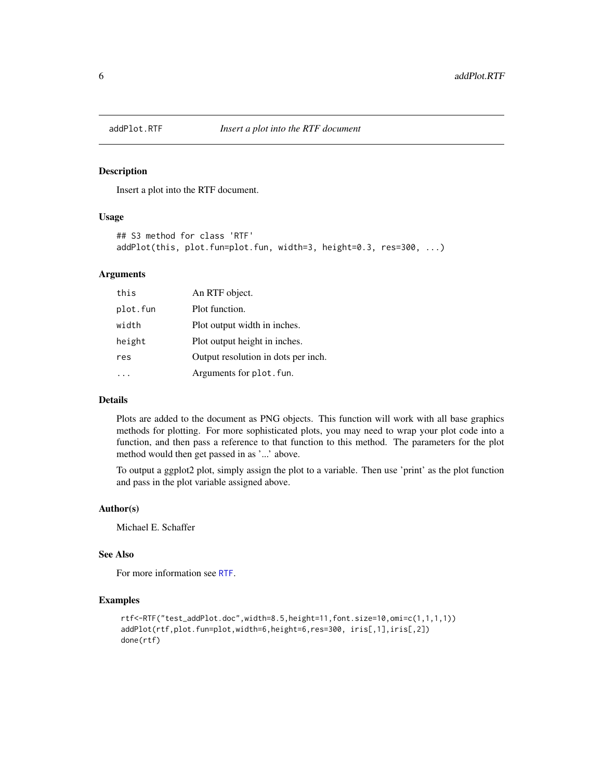<span id="page-5-0"></span>

#### Description

Insert a plot into the RTF document.

## Usage

```
## S3 method for class 'RTF'
addPlot(this, plot.fun=plot.fun, width=3, height=0.3, res=300, ...)
```
#### Arguments

| this     | An RTF object.                      |
|----------|-------------------------------------|
| plot.fun | Plot function.                      |
| width    | Plot output width in inches.        |
| height   | Plot output height in inches.       |
| res      | Output resolution in dots per inch. |
|          | Arguments for plot. fun.            |

#### Details

Plots are added to the document as PNG objects. This function will work with all base graphics methods for plotting. For more sophisticated plots, you may need to wrap your plot code into a function, and then pass a reference to that function to this method. The parameters for the plot method would then get passed in as '...' above.

To output a ggplot2 plot, simply assign the plot to a variable. Then use 'print' as the plot function and pass in the plot variable assigned above.

#### Author(s)

Michael E. Schaffer

#### See Also

For more information see [RTF](#page-13-1).

## Examples

```
rtf<-RTF("test_addPlot.doc",width=8.5,height=11,font.size=10,omi=c(1,1,1,1))
addPlot(rtf,plot.fun=plot,width=6,height=6,res=300, iris[,1],iris[,2])
done(rtf)
```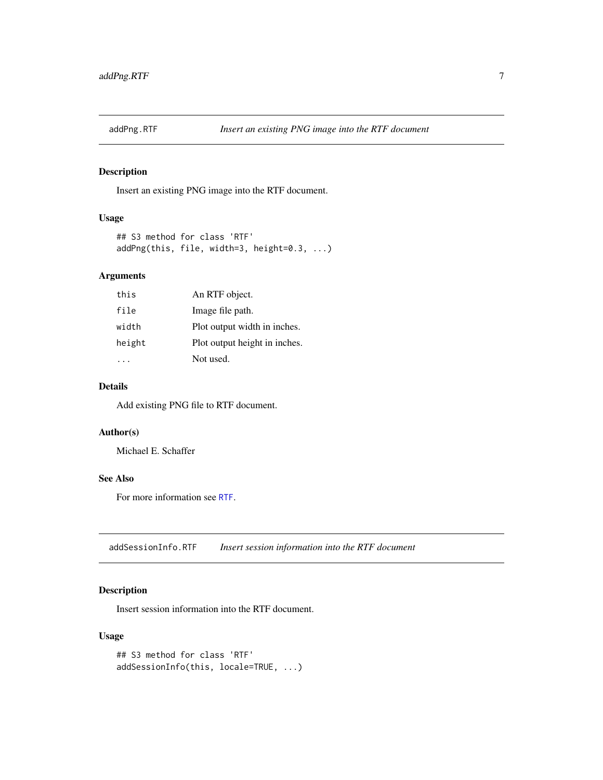<span id="page-6-0"></span>

## Description

Insert an existing PNG image into the RTF document.

#### Usage

```
## S3 method for class 'RTF'
addPng(this, file, width=3, height=0.3, ...)
```
## Arguments

| this   | An RTF object.                |
|--------|-------------------------------|
| file   | Image file path.              |
| width  | Plot output width in inches.  |
| height | Plot output height in inches. |
|        | Not used.                     |

## Details

Add existing PNG file to RTF document.

## Author(s)

Michael E. Schaffer

#### See Also

For more information see [RTF](#page-13-1).

addSessionInfo.RTF *Insert session information into the RTF document*

## Description

Insert session information into the RTF document.

#### Usage

```
## S3 method for class 'RTF'
addSessionInfo(this, locale=TRUE, ...)
```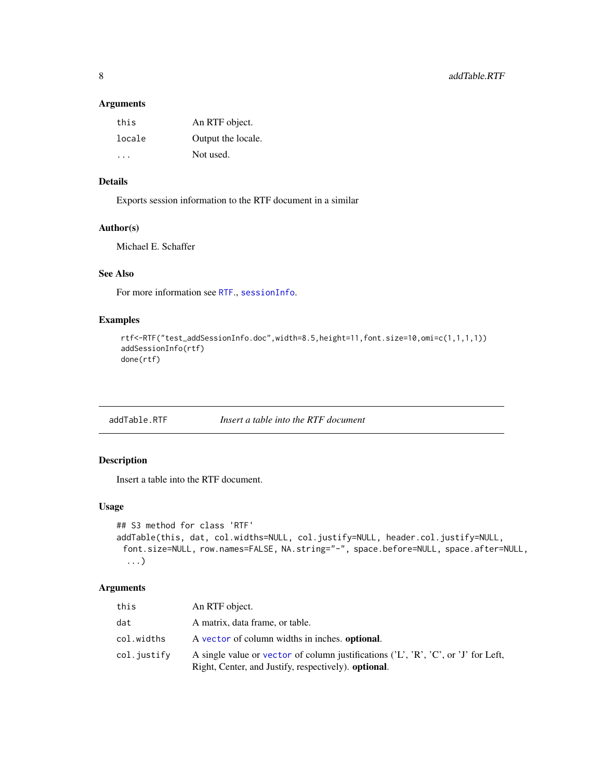#### <span id="page-7-0"></span>Arguments

| this                 | An RTF object.     |
|----------------------|--------------------|
| locale               | Output the locale. |
| $\sim$ $\sim$ $\sim$ | Not used.          |

## Details

Exports session information to the RTF document in a similar

## Author(s)

Michael E. Schaffer

## See Also

For more information see [RTF](#page-13-1)., [sessionInfo](#page-0-0).

## Examples

```
rtf<-RTF("test_addSessionInfo.doc",width=8.5,height=11,font.size=10,omi=c(1,1,1,1))
addSessionInfo(rtf)
done(rtf)
```
addTable.RTF *Insert a table into the RTF document*

## Description

Insert a table into the RTF document.

## Usage

```
## S3 method for class 'RTF'
addTable(this, dat, col.widths=NULL, col.justify=NULL, header.col.justify=NULL,
 font.size=NULL, row.names=FALSE, NA.string="-", space.before=NULL, space.after=NULL,
  ...)
```

| this        | An RTF object.                                                                                                                                    |
|-------------|---------------------------------------------------------------------------------------------------------------------------------------------------|
| dat         | A matrix, data frame, or table.                                                                                                                   |
| col.widths  | A vector of column widths in inches. optional.                                                                                                    |
| col.justify | A single value or vector of column justifications $(L', R', C', or'J')$ for Left,<br>Right, Center, and Justify, respectively). <b>optional</b> . |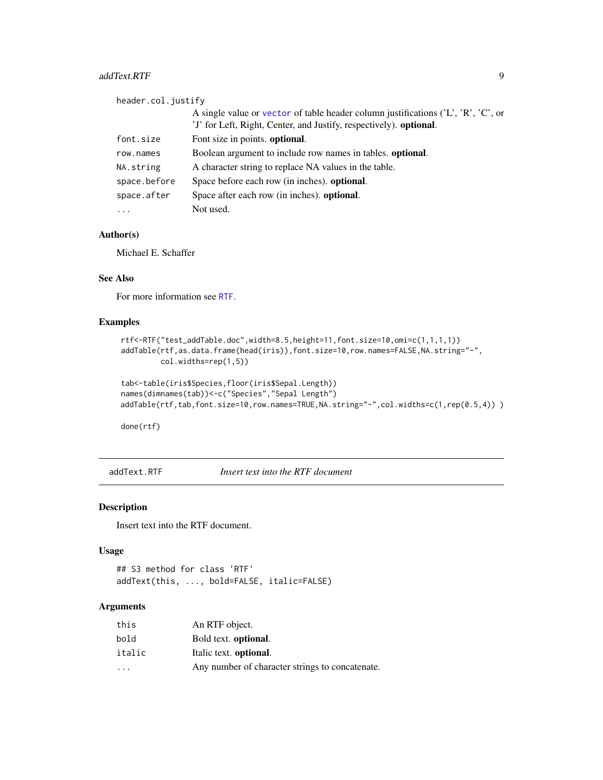#### <span id="page-8-0"></span>addText.RTF 9

| header.col.justify |                                                                                                                                                         |
|--------------------|---------------------------------------------------------------------------------------------------------------------------------------------------------|
|                    | A single value or vector of table header column justifications $(L', R', C', or)$<br>'J' for Left, Right, Center, and Justify, respectively). optional. |
| font.size          | Font size in points. optional.                                                                                                                          |
| row.names          | Boolean argument to include row names in tables. <b>optional</b> .                                                                                      |
| NA.string          | A character string to replace NA values in the table.                                                                                                   |
| space.before       | Space before each row (in inches), <b>optional</b> .                                                                                                    |
| space.after        | Space after each row (in inches). optional.                                                                                                             |
| $\cdots$           | Not used.                                                                                                                                               |

## Author(s)

Michael E. Schaffer

#### See Also

For more information see [RTF](#page-13-1).

#### Examples

```
rtf<-RTF("test_addTable.doc",width=8.5,height=11,font.size=10,omi=c(1,1,1,1))
addTable(rtf,as.data.frame(head(iris)),font.size=10,row.names=FALSE,NA.string="-",
         col.widths=rep(1,5))
```

```
tab<-table(iris$Species,floor(iris$Sepal.Length))
names(dimnames(tab))<-c("Species","Sepal Length")
addTable(rtf,tab,font.size=10,row.names=TRUE,NA.string="-",col.widths=c(1,rep(0.5,4)))
```
done(rtf)

addText.RTF *Insert text into the RTF document*

#### Description

Insert text into the RTF document.

#### Usage

## S3 method for class 'RTF' addText(this, ..., bold=FALSE, italic=FALSE)

| this     | An RTF object.                                  |
|----------|-------------------------------------------------|
| bold     | Bold text. <b>optional</b> .                    |
| italic   | Italic text. optional.                          |
| $\cdots$ | Any number of character strings to concatenate. |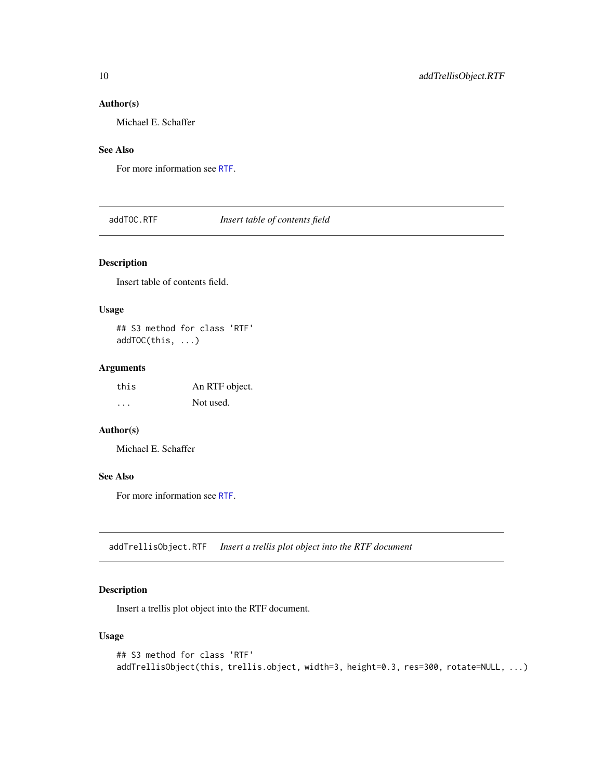#### <span id="page-9-0"></span>Author(s)

Michael E. Schaffer

## See Also

For more information see [RTF](#page-13-1).

## addTOC.RTF *Insert table of contents field*

## Description

Insert table of contents field.

#### Usage

## S3 method for class 'RTF' addTOC(this, ...)

## Arguments

| this | An RTF object. |
|------|----------------|
| .    | Not used.      |

## Author(s)

Michael E. Schaffer

## See Also

For more information see [RTF](#page-13-1).

addTrellisObject.RTF *Insert a trellis plot object into the RTF document*

## Description

Insert a trellis plot object into the RTF document.

#### Usage

```
## S3 method for class 'RTF'
addTrellisObject(this, trellis.object, width=3, height=0.3, res=300, rotate=NULL, ...)
```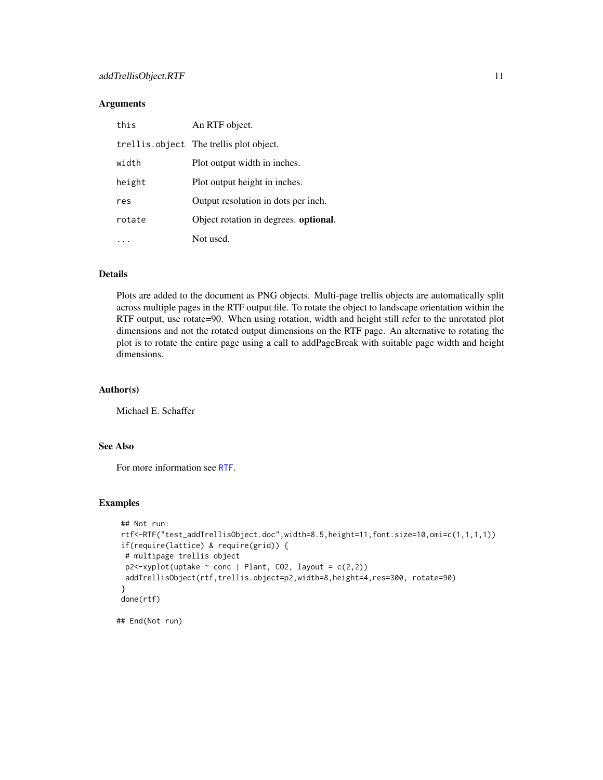#### **Arguments**

| this   | An RTF object.                            |
|--------|-------------------------------------------|
|        | trell is object The trell is plot object. |
| width  | Plot output width in inches.              |
| height | Plot output height in inches.             |
| res    | Output resolution in dots per inch.       |
| rotate | Object rotation in degrees. optional.     |
|        | Not used.                                 |

#### Details

Plots are added to the document as PNG objects. Multi-page trellis objects are automatically split across multiple pages in the RTF output file. To rotate the object to landscape orientation within the RTF output, use rotate=90. When using rotation, width and height still refer to the unrotated plot dimensions and not the rotated output dimensions on the RTF page. An alternative to rotating the plot is to rotate the entire page using a call to addPageBreak with suitable page width and height dimensions.

## Author(s)

Michael E. Schaffer

## See Also

For more information see [RTF](#page-13-1).

#### Examples

```
## Not run:
rtf<-RTF("test_addTrellisObject.doc",width=8.5,height=11,font.size=10,omi=c(1,1,1,1))
if(require(lattice) & require(grid)) {
 # multipage trellis object
 p2 \le -xyplot(uptake \sim conc | Plant, CO2, layout = c(2,2))
 addTrellisObject(rtf,trellis.object=p2,width=8,height=4,res=300, rotate=90)
}
done(rtf)
```
## End(Not run)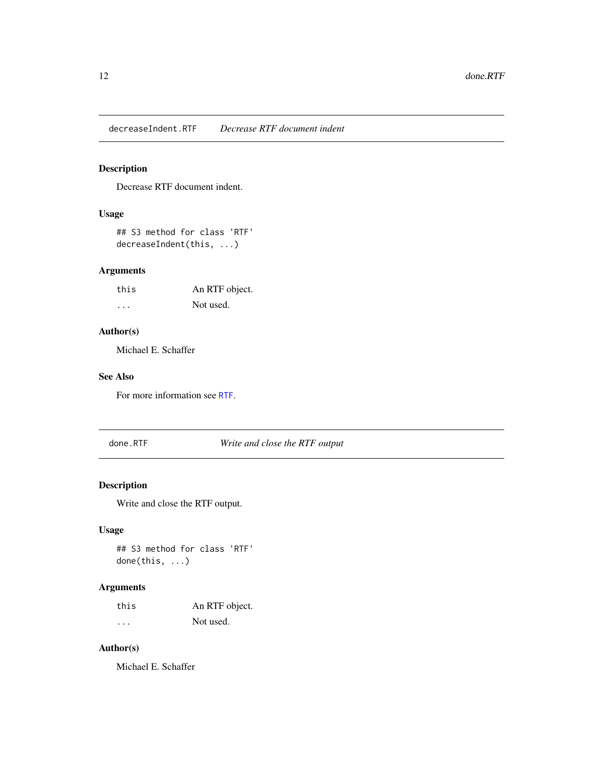<span id="page-11-0"></span>decreaseIndent.RTF *Decrease RTF document indent*

## Description

Decrease RTF document indent.

## Usage

## S3 method for class 'RTF' decreaseIndent(this, ...)

## Arguments

| this | An RTF object. |
|------|----------------|
| .    | Not used.      |

## Author(s)

Michael E. Schaffer

#### See Also

For more information see [RTF](#page-13-1).

done.RTF *Write and close the RTF output*

## Description

Write and close the RTF output.

#### Usage

## S3 method for class 'RTF' done(this, ...)

## Arguments

| this | An RTF object. |
|------|----------------|
| .    | Not used.      |

## Author(s)

Michael E. Schaffer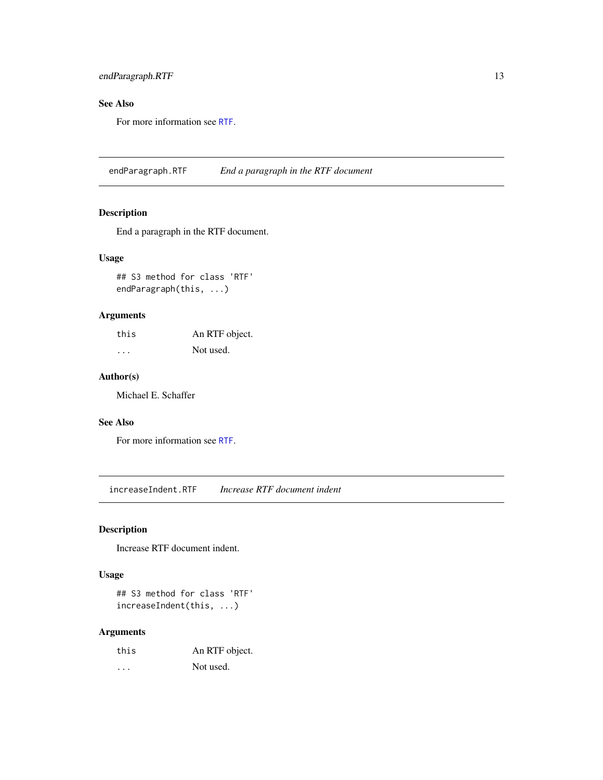## <span id="page-12-0"></span>endParagraph.RTF 13

## See Also

For more information see [RTF](#page-13-1).

endParagraph.RTF *End a paragraph in the RTF document*

## Description

End a paragraph in the RTF document.

#### Usage

## S3 method for class 'RTF' endParagraph(this, ...)

## Arguments

| this | An RTF object. |
|------|----------------|
| .    | Not used.      |

#### Author(s)

Michael E. Schaffer

## See Also

For more information see [RTF](#page-13-1).

increaseIndent.RTF *Increase RTF document indent*

#### Description

Increase RTF document indent.

#### Usage

## S3 method for class 'RTF' increaseIndent(this, ...)

| this | An RTF object. |
|------|----------------|
| .    | Not used.      |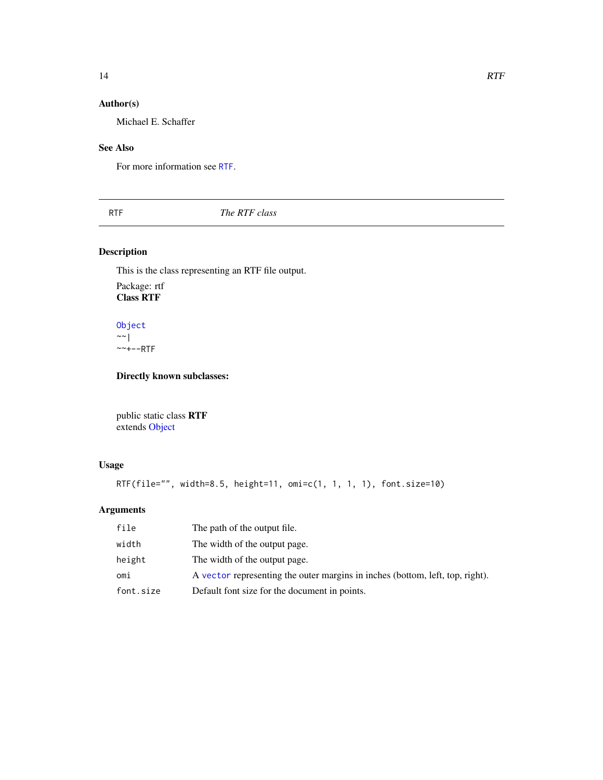## <span id="page-13-0"></span>Author(s)

Michael E. Schaffer

#### See Also

For more information see [RTF](#page-13-1).

<span id="page-13-1"></span>RTF *The RTF class*

## Description

This is the class representing an RTF file output.

Package: rtf Class RTF

[Object](#page-0-0)  $~\sim$  | ~~+--RTF

Directly known subclasses:

public static class RTF extends [Object](#page-0-0)

## Usage

```
RTF(file="", width=8.5, height=11, omi=c(1, 1, 1, 1), font.size=10)
```

| file      | The path of the output file.                                                  |
|-----------|-------------------------------------------------------------------------------|
| width     | The width of the output page.                                                 |
| height    | The width of the output page.                                                 |
| omi       | A vector representing the outer margins in inches (bottom, left, top, right). |
| font.size | Default font size for the document in points.                                 |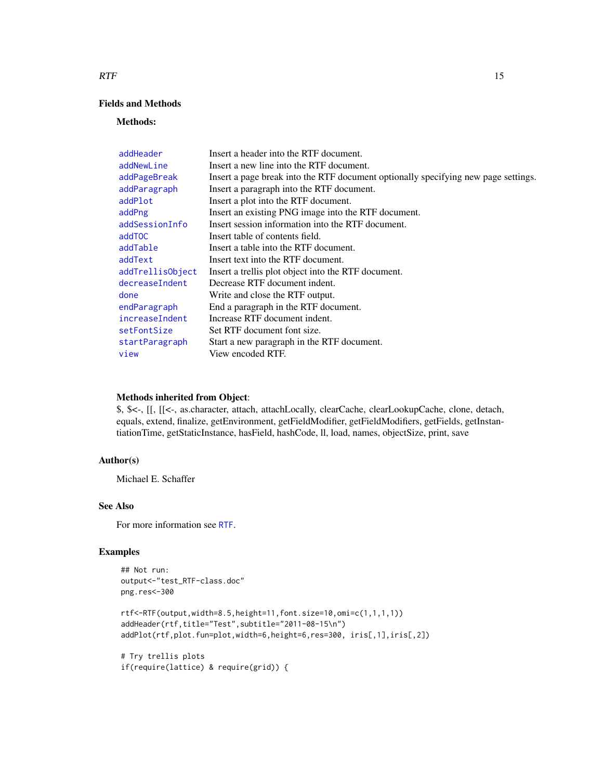## Fields and Methods

#### Methods:

| addHeader        | Insert a header into the RTF document.                                             |
|------------------|------------------------------------------------------------------------------------|
| addNewLine       | Insert a new line into the RTF document.                                           |
| addPageBreak     | Insert a page break into the RTF document optionally specifying new page settings. |
| addParagraph     | Insert a paragraph into the RTF document.                                          |
| addPlot          | Insert a plot into the RTF document.                                               |
| addPng           | Insert an existing PNG image into the RTF document.                                |
| addSessionInfo   | Insert session information into the RTF document.                                  |
| addTOC           | Insert table of contents field.                                                    |
| addTable         | Insert a table into the RTF document.                                              |
| addText          | Insert text into the RTF document.                                                 |
| addTrellisObject | Insert a trellis plot object into the RTF document.                                |
| decreaseIndent   | Decrease RTF document indent.                                                      |
| done             | Write and close the RTF output.                                                    |
| endParagraph     | End a paragraph in the RTF document.                                               |
| increaseIndent   | Increase RTF document indent.                                                      |
| setFontSize      | Set RTF document font size.                                                        |
| startParagraph   | Start a new paragraph in the RTF document.                                         |
| view             | View encoded RTF.                                                                  |

#### Methods inherited from Object:

\$, \$<-, [[, [[<-, as.character, attach, attachLocally, clearCache, clearLookupCache, clone, detach, equals, extend, finalize, getEnvironment, getFieldModifier, getFieldModifiers, getFields, getInstantiationTime, getStaticInstance, hasField, hashCode, ll, load, names, objectSize, print, save

## Author(s)

Michael E. Schaffer

## See Also

For more information see [RTF](#page-13-1).

## Examples

```
## Not run:
output<-"test_RTF-class.doc"
png.res<-300
rtf<-RTF(output,width=8.5,height=11,font.size=10,omi=c(1,1,1,1))
addHeader(rtf,title="Test",subtitle="2011-08-15\n")
addPlot(rtf,plot.fun=plot,width=6,height=6,res=300, iris[,1],iris[,2])
# Try trellis plots
```
<span id="page-14-0"></span> $RTF$  and the set of the set of the set of the set of the set of the set of the set of the set of the set of the set of the set of the set of the set of the set of the set of the set of the set of the set of the set of the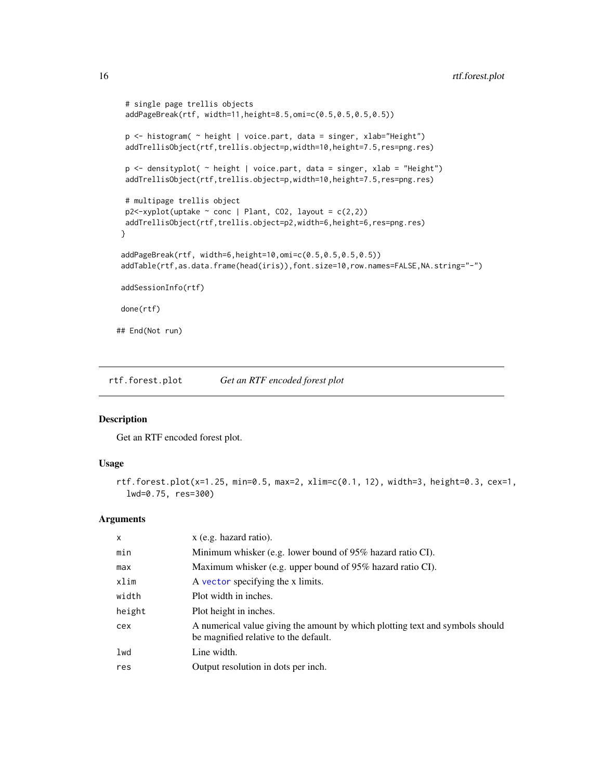```
# single page trellis objects
 addPageBreak(rtf, width=11,height=8.5,omi=c(0.5,0.5,0.5,0.5))
 p <- histogram( ~ height | voice.part, data = singer, xlab="Height")
 addTrellisObject(rtf,trellis.object=p,width=10,height=7.5,res=png.res)
 p <- densityplot( ~ height | voice.part, data = singer, xlab = "Height")
 addTrellisObject(rtf,trellis.object=p,width=10,height=7.5,res=png.res)
 # multipage trellis object
 p2 <-xyplot(uptake \sim conc | Plant, CO2, layout = c(2,2))
 addTrellisObject(rtf,trellis.object=p2,width=6,height=6,res=png.res)
 }
 addPageBreak(rtf, width=6,height=10,omi=c(0.5,0.5,0.5,0.5))
 addTable(rtf,as.data.frame(head(iris)),font.size=10,row.names=FALSE,NA.string="-")
addSessionInfo(rtf)
done(rtf)
## End(Not run)
```
rtf.forest.plot *Get an RTF encoded forest plot*

#### Description

Get an RTF encoded forest plot.

#### Usage

```
rtf.forest.plot(x=1.25, min=0.5, max=2, xlim=c(0.1, 12), width=3, height=0.3, cex=1,
  lwd=0.75, res=300)
```

| $\times$ | x (e.g. hazard ratio).                                                                                                 |
|----------|------------------------------------------------------------------------------------------------------------------------|
| min      | Minimum whisker (e.g. lower bound of 95% hazard ratio CI).                                                             |
| max      | Maximum whisker (e.g. upper bound of 95% hazard ratio CI).                                                             |
| xlim     | A vector specifying the x limits.                                                                                      |
| width    | Plot width in inches.                                                                                                  |
| height   | Plot height in inches.                                                                                                 |
| cex      | A numerical value giving the amount by which plotting text and symbols should<br>be magnified relative to the default. |
| lwd      | Line width.                                                                                                            |
| res      | Output resolution in dots per inch.                                                                                    |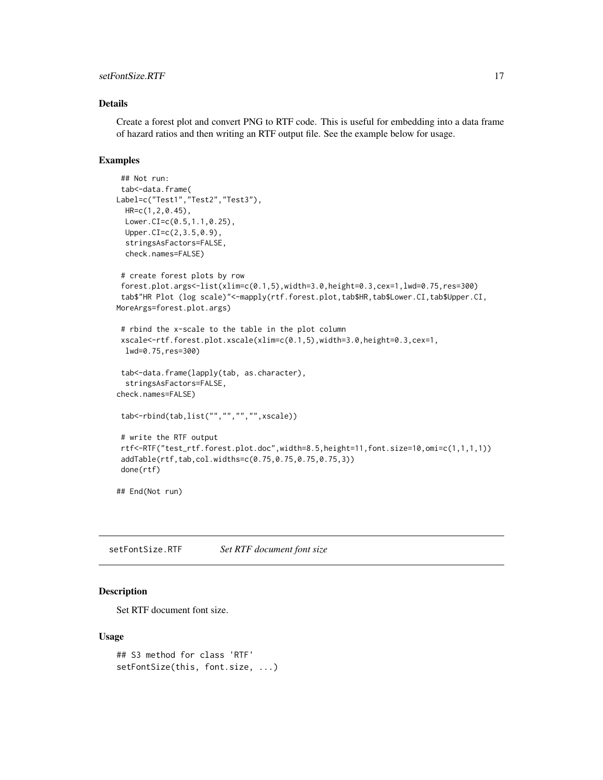## <span id="page-16-0"></span>setFontSize.RTF 17

#### Details

Create a forest plot and convert PNG to RTF code. This is useful for embedding into a data frame of hazard ratios and then writing an RTF output file. See the example below for usage.

#### Examples

```
## Not run:
tab<-data.frame(
Label=c("Test1", "Test2", "Test3"),
 HR=c(1,2,0.45),
 Lower.CI=c(0.5,1.1,0.25),
 Upper.CI=c(2,3.5,0.9),
 stringsAsFactors=FALSE,
 check.names=FALSE)
 # create forest plots by row
 forest.plot.args<-list(xlim=c(0.1,5),width=3.0,height=0.3,cex=1,lwd=0.75,res=300)
 tab$"HR Plot (log scale)"<-mapply(rtf.forest.plot,tab$HR,tab$Lower.CI,tab$Upper.CI,
MoreArgs=forest.plot.args)
 # rbind the x-scale to the table in the plot column
 xscale<-rtf.forest.plot.xscale(xlim=c(0.1,5),width=3.0,height=0.3,cex=1,
 lwd=0.75,res=300)
 tab<-data.frame(lapply(tab, as.character),
 stringsAsFactors=FALSE,
check.names=FALSE)
 tab<-rbind(tab,list("","","","",xscale))
# write the RTF output
rtf<-RTF("test_rtf.forest.plot.doc",width=8.5,height=11,font.size=10,omi=c(1,1,1,1))
 addTable(rtf,tab,col.widths=c(0.75,0.75,0.75,0.75,3))
 done(rtf)
## End(Not run)
```
setFontSize.RTF *Set RTF document font size*

#### Description

Set RTF document font size.

#### Usage

```
## S3 method for class 'RTF'
setFontSize(this, font.size, ...)
```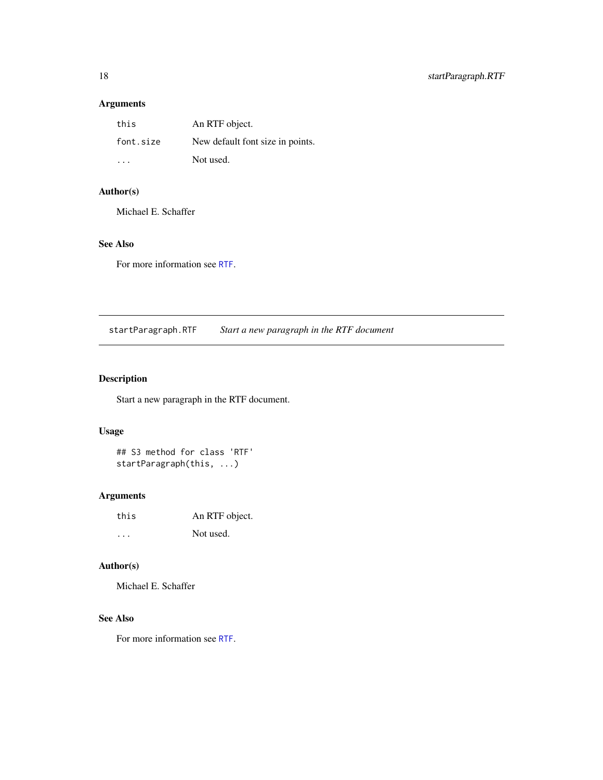## <span id="page-17-0"></span>Arguments

| this      | An RTF object.                   |
|-----------|----------------------------------|
| font.size | New default font size in points. |
| .         | Not used.                        |

## Author(s)

Michael E. Schaffer

## See Also

For more information see [RTF](#page-13-1).

startParagraph.RTF *Start a new paragraph in the RTF document*

## Description

Start a new paragraph in the RTF document.

#### Usage

## S3 method for class 'RTF' startParagraph(this, ...)

## Arguments

| this | An RTF object. |
|------|----------------|
| .    | Not used.      |

## Author(s)

Michael E. Schaffer

## See Also

For more information see [RTF](#page-13-1).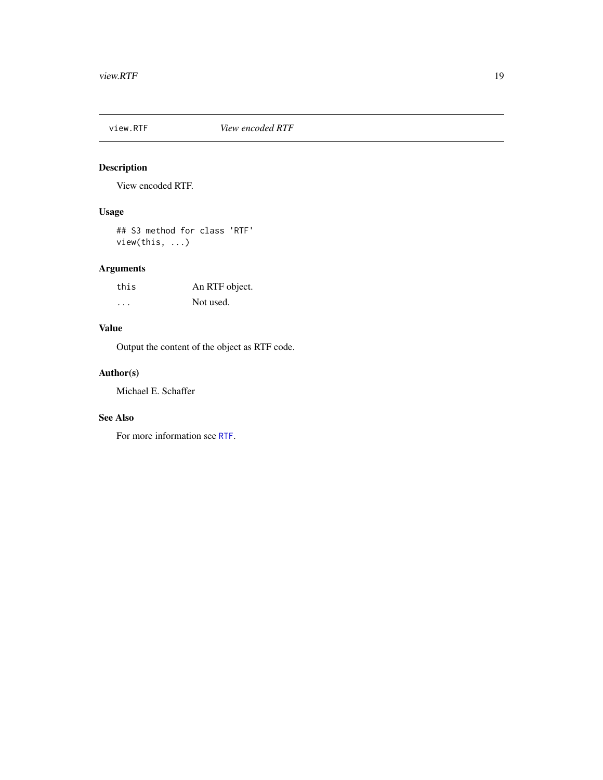<span id="page-18-0"></span>

## Description

View encoded RTF.

## Usage

## S3 method for class 'RTF' view(this, ...)

## Arguments

| this | An RTF object. |
|------|----------------|
| .    | Not used.      |

## Value

Output the content of the object as RTF code.

## Author(s)

Michael E. Schaffer

## See Also

For more information see [RTF](#page-13-1).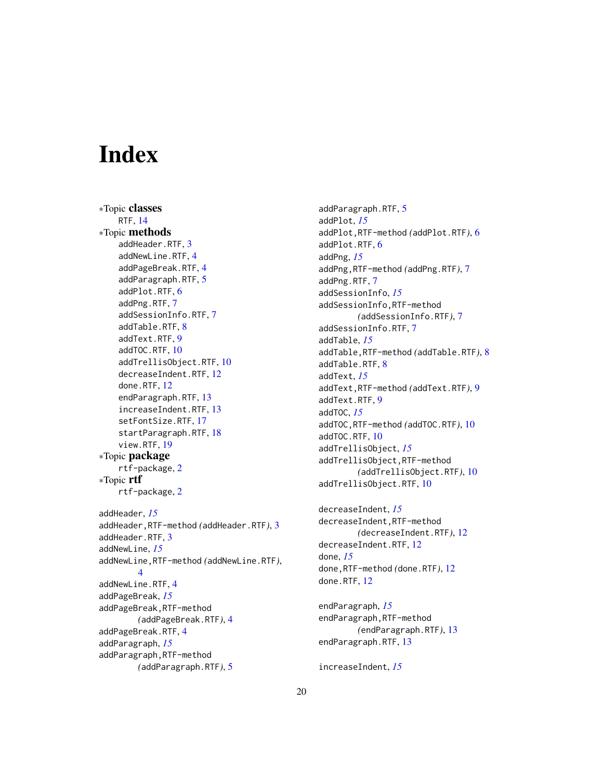# <span id="page-19-0"></span>**Index**

∗Topic classes RTF, [14](#page-13-0) ∗Topic methods addHeader.RTF, [3](#page-2-0) addNewLine.RTF, [4](#page-3-0) addPageBreak.RTF, [4](#page-3-0) addParagraph.RTF, [5](#page-4-0) addPlot.RTF, [6](#page-5-0) addPng.RTF, [7](#page-6-0) addSessionInfo.RTF, [7](#page-6-0) addTable.RTF, [8](#page-7-0) addText.RTF, [9](#page-8-0) addTOC.RTF, [10](#page-9-0) addTrellisObject.RTF, [10](#page-9-0) decreaseIndent.RTF, [12](#page-11-0) done.RTF, [12](#page-11-0) endParagraph.RTF, [13](#page-12-0) increaseIndent.RTF, [13](#page-12-0) setFontSize.RTF, [17](#page-16-0) startParagraph.RTF, [18](#page-17-0) view.RTF, [19](#page-18-0) ∗Topic package rtf-package, [2](#page-1-0) ∗Topic rtf rtf-package, [2](#page-1-0) addHeader, *[15](#page-14-0)* addHeader,RTF-method *(*addHeader.RTF*)*, [3](#page-2-0) addHeader.RTF, [3](#page-2-0) addNewLine, *[15](#page-14-0)* addNewLine,RTF-method *(*addNewLine.RTF*)*,  $\Delta$ addNewLine.RTF, [4](#page-3-0) addPageBreak, *[15](#page-14-0)* addPageBreak,RTF-method *(*addPageBreak.RTF*)*, [4](#page-3-0) addPageBreak.RTF, [4](#page-3-0) addParagraph, *[15](#page-14-0)* addParagraph,RTF-method *(*addParagraph.RTF*)*, [5](#page-4-0)

addParagraph.RTF, [5](#page-4-0) addPlot, *[15](#page-14-0)* addPlot,RTF-method *(*addPlot.RTF*)*, [6](#page-5-0) addPlot.RTF, [6](#page-5-0) addPng, *[15](#page-14-0)* addPng,RTF-method *(*addPng.RTF*)*, [7](#page-6-0) addPng.RTF, [7](#page-6-0) addSessionInfo, *[15](#page-14-0)* addSessionInfo,RTF-method *(*addSessionInfo.RTF*)*, [7](#page-6-0) addSessionInfo.RTF, [7](#page-6-0) addTable, *[15](#page-14-0)* addTable,RTF-method *(*addTable.RTF*)*, [8](#page-7-0) addTable.RTF, [8](#page-7-0) addText, *[15](#page-14-0)* addText,RTF-method *(*addText.RTF*)*, [9](#page-8-0) addText.RTF, [9](#page-8-0) addTOC, *[15](#page-14-0)* addTOC,RTF-method *(*addTOC.RTF*)*, [10](#page-9-0) addTOC.RTF, [10](#page-9-0) addTrellisObject, *[15](#page-14-0)* addTrellisObject,RTF-method *(*addTrellisObject.RTF*)*, [10](#page-9-0) addTrellisObject.RTF, [10](#page-9-0)

decreaseIndent, *[15](#page-14-0)* decreaseIndent,RTF-method *(*decreaseIndent.RTF*)*, [12](#page-11-0) decreaseIndent.RTF, [12](#page-11-0) done, *[15](#page-14-0)* done,RTF-method *(*done.RTF*)*, [12](#page-11-0) done.RTF, [12](#page-11-0)

endParagraph, *[15](#page-14-0)* endParagraph,RTF-method *(*endParagraph.RTF*)*, [13](#page-12-0) endParagraph.RTF, [13](#page-12-0)

increaseIndent, *[15](#page-14-0)*